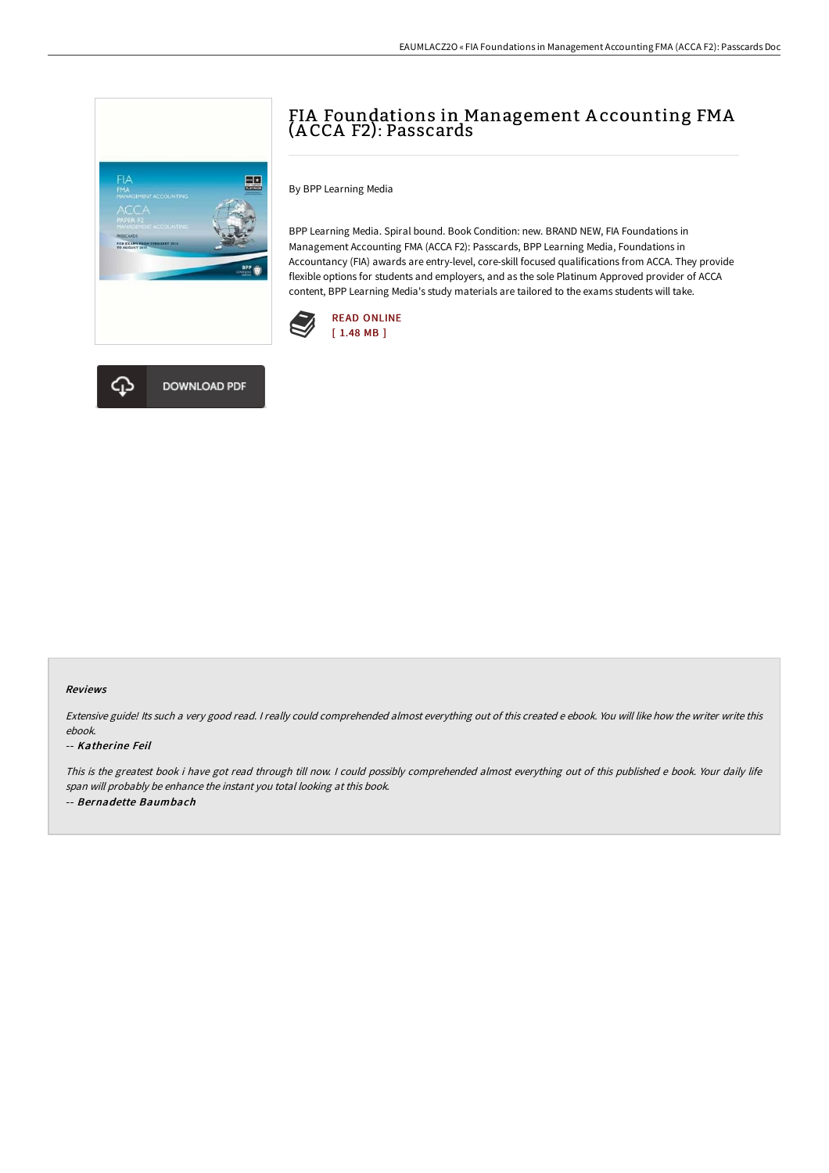# FIA Foundations in Management A ccounting FMA (A CCA F2): Passcards



ær.

BPP Learning Media. Spiral bound. Book Condition: new. BRAND NEW, FIA Foundations in Management Accounting FMA (ACCA F2): Passcards, BPP Learning Media, Foundations in Accountancy (FIA) awards are entry-level, core-skill focused qualifications from ACCA. They provide flexible options for students and employers, and as the sole Platinum Approved provider of ACCA content, BPP Learning Media's study materials are tailored to the exams students will take.





#### Reviews

Extensive guide! Its such <sup>a</sup> very good read. <sup>I</sup> really could comprehended almost everything out of this created <sup>e</sup> ebook. You will like how the writer write this ebook.

#### -- Katherine Feil

This is the greatest book i have got read through till now. <sup>I</sup> could possibly comprehended almost everything out of this published <sup>e</sup> book. Your daily life span will probably be enhance the instant you total looking at this book. -- Bernadette Baumbach